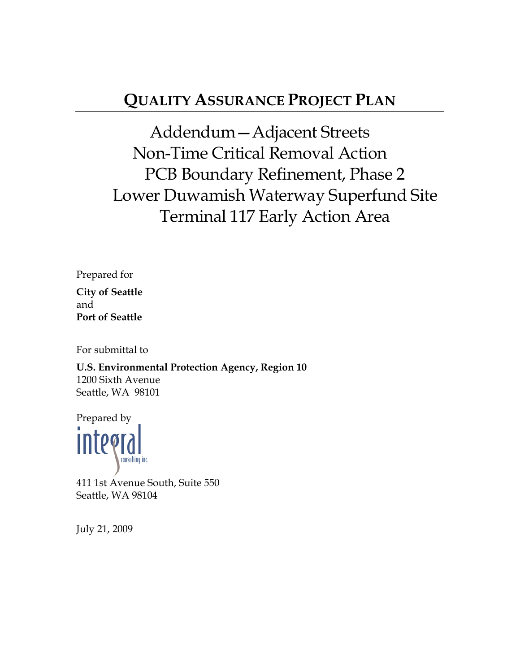# **QUALITY ASSURANCE PROJECT PLAN**

Addendum—Adjacent Streets Non-Time Critical Removal Action PCB Boundary Refinement, Phase 2 Lower Duwamish Waterway Superfund Site Terminal 117 Early Action Area

Prepared for **City of Seattle**  and **Port of Seattle** 

For submittal to

**U.S. Environmental Protection Agency, Region 10**  1200 Sixth Avenue Seattle, WA 98101

Prepared by

411 1st Avenue South, Suite 550 Seattle, WA 98104

July 21, 2009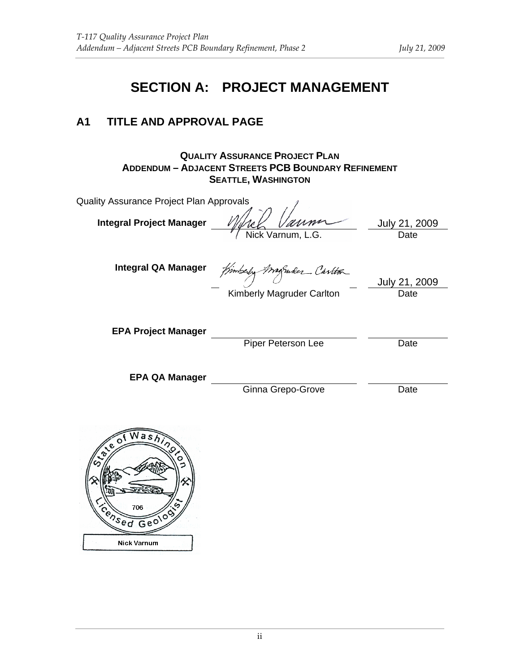# **SECTION A: PROJECT MANAGEMENT**

#### **A1 TITLE AND APPROVAL PAGE**

**QUALITY ASSURANCE PROJECT PLAN ADDENDUM – ADJACENT STREETS PCB BOUNDARY REFINEMENT SEATTLE, WASHINGTON**

| Quality Assurance Project Plan Approvals |                           |                       |
|------------------------------------------|---------------------------|-----------------------|
| <b>Integral Project Manager</b>          | Nick Varnum, L.G.         | July 21, 2009<br>Date |
| <b>Integral QA Manager</b>               | Kimberly Magnuder Carlton | July 21, 2009         |
| <b>EPA Project Manager</b>               | Kimberly Magruder Carlton | Date                  |
|                                          | Piper Peterson Lee        | Date                  |
| <b>EPA QA Manager</b>                    |                           |                       |

Ginna Grepo-Grove Date

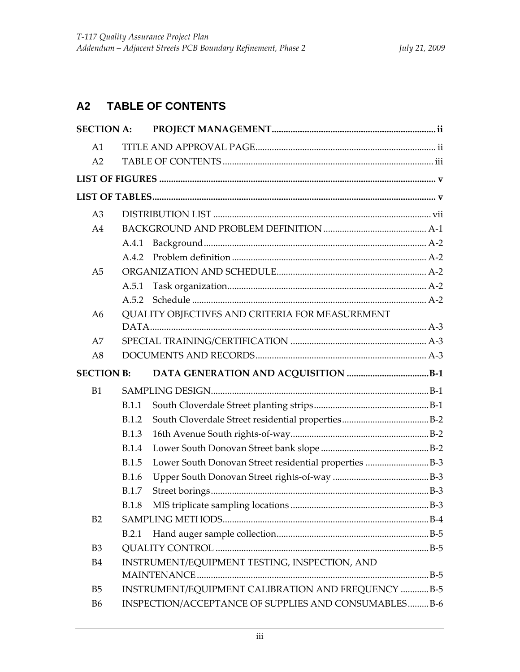# **A2 TABLE OF CONTENTS**

| <b>SECTION A:</b> |              |                                                                                                             |  |
|-------------------|--------------|-------------------------------------------------------------------------------------------------------------|--|
| A1                |              |                                                                                                             |  |
| A2                |              |                                                                                                             |  |
|                   |              |                                                                                                             |  |
|                   |              |                                                                                                             |  |
| A <sub>3</sub>    |              |                                                                                                             |  |
| A <sub>4</sub>    |              |                                                                                                             |  |
|                   | A.4.1        |                                                                                                             |  |
|                   |              |                                                                                                             |  |
| A <sub>5</sub>    |              |                                                                                                             |  |
|                   | A.5.1        |                                                                                                             |  |
|                   | A.5.2        |                                                                                                             |  |
| A6                |              | QUALITY OBJECTIVES AND CRITERIA FOR MEASUREMENT                                                             |  |
|                   |              |                                                                                                             |  |
| A7                |              |                                                                                                             |  |
| A8                |              |                                                                                                             |  |
|                   |              |                                                                                                             |  |
| <b>SECTION B:</b> |              |                                                                                                             |  |
| B1                |              |                                                                                                             |  |
|                   | <b>B.1.1</b> |                                                                                                             |  |
|                   | <b>B.1.2</b> |                                                                                                             |  |
|                   | <b>B.1.3</b> |                                                                                                             |  |
|                   | <b>B.1.4</b> |                                                                                                             |  |
|                   | <b>B.1.5</b> | Lower South Donovan Street residential properties B-3                                                       |  |
|                   | <b>B.1.6</b> |                                                                                                             |  |
|                   | <b>B.1.7</b> |                                                                                                             |  |
|                   | <b>B.1.8</b> |                                                                                                             |  |
| B2                |              |                                                                                                             |  |
|                   | B.2.1        |                                                                                                             |  |
| B <sub>3</sub>    |              |                                                                                                             |  |
| <b>B4</b>         |              | INSTRUMENT/EQUIPMENT TESTING, INSPECTION, AND                                                               |  |
|                   |              |                                                                                                             |  |
| B <sub>5</sub>    |              | INSTRUMENT/EQUIPMENT CALIBRATION AND FREQUENCY  B-5<br>INSPECTION/ACCEPTANCE OF SUPPLIES AND CONSUMABLESB-6 |  |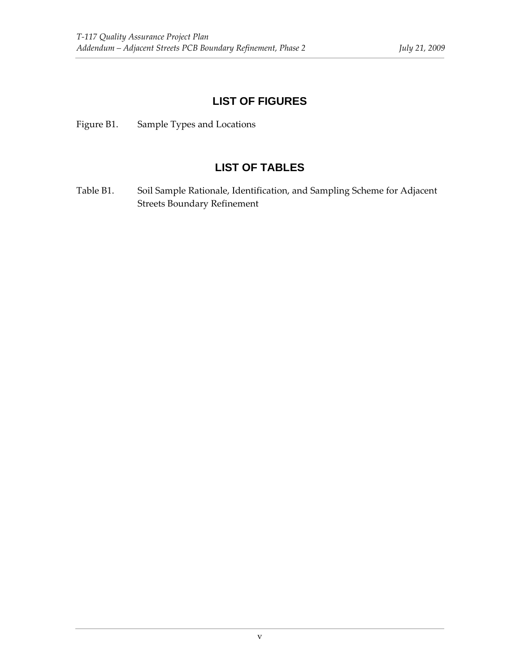#### **LIST OF FIGURES**

Figure B1. Sample Types and Locations

#### **LIST OF TABLES**

Table B1. Soil Sample Rationale, Identification, and Sampling Scheme for Adjacent Streets Boundary Refinement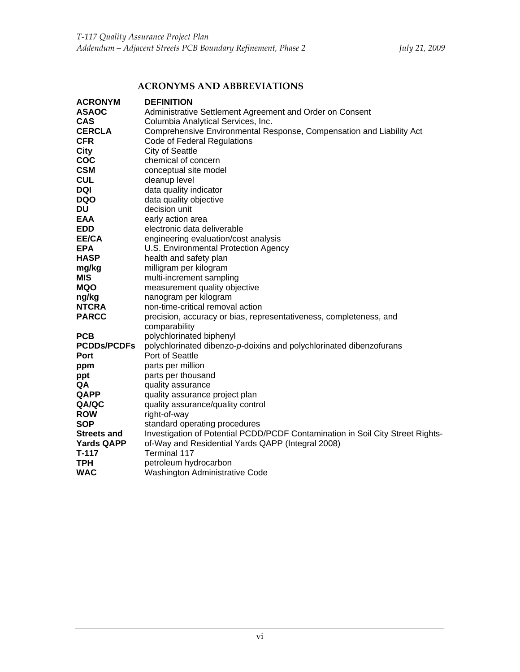#### **ACRONYMS AND ABBREVIATIONS**

| <b>ACRONYM</b>     | <b>DEFINITION</b>                                                              |
|--------------------|--------------------------------------------------------------------------------|
| <b>ASAOC</b>       | Administrative Settlement Agreement and Order on Consent                       |
| <b>CAS</b>         | Columbia Analytical Services, Inc.                                             |
| <b>CERCLA</b>      | Comprehensive Environmental Response, Compensation and Liability Act           |
| <b>CFR</b>         | Code of Federal Regulations                                                    |
| <b>City</b>        | <b>City of Seattle</b>                                                         |
| <b>COC</b>         | chemical of concern                                                            |
| <b>CSM</b>         | conceptual site model                                                          |
| <b>CUL</b>         | cleanup level                                                                  |
| DQI                | data quality indicator                                                         |
| <b>DQO</b>         | data quality objective                                                         |
| DU                 | decision unit                                                                  |
| <b>EAA</b>         | early action area                                                              |
| <b>EDD</b>         | electronic data deliverable                                                    |
| EE/CA              | engineering evaluation/cost analysis                                           |
| <b>EPA</b>         | U.S. Environmental Protection Agency                                           |
| HASP               | health and safety plan                                                         |
| mg/kg              | milligram per kilogram                                                         |
| MIS                | multi-increment sampling                                                       |
| MQO                | measurement quality objective                                                  |
| ng/kg              | nanogram per kilogram                                                          |
| NTCRA              | non-time-critical removal action                                               |
| <b>PARCC</b>       | precision, accuracy or bias, representativeness, completeness, and             |
|                    | comparability                                                                  |
| <b>PCB</b>         | polychlorinated biphenyl                                                       |
| <b>PCDDs/PCDFs</b> | polychlorinated dibenzo-p-doixins and polychlorinated dibenzofurans            |
| Port               | Port of Seattle                                                                |
| ppm                | parts per million                                                              |
| ppt                | parts per thousand                                                             |
| QA                 | quality assurance                                                              |
| QAPP               | quality assurance project plan                                                 |
| QA/QC              | quality assurance/quality control                                              |
| <b>ROW</b>         | right-of-way                                                                   |
| <b>SOP</b>         | standard operating procedures                                                  |
| <b>Streets and</b> | Investigation of Potential PCDD/PCDF Contamination in Soil City Street Rights- |
| <b>Yards QAPP</b>  | of-Way and Residential Yards QAPP (Integral 2008)                              |
| T-117              | Terminal 117                                                                   |
| TPH                | petroleum hydrocarbon                                                          |
| WAC                | <b>Washington Administrative Code</b>                                          |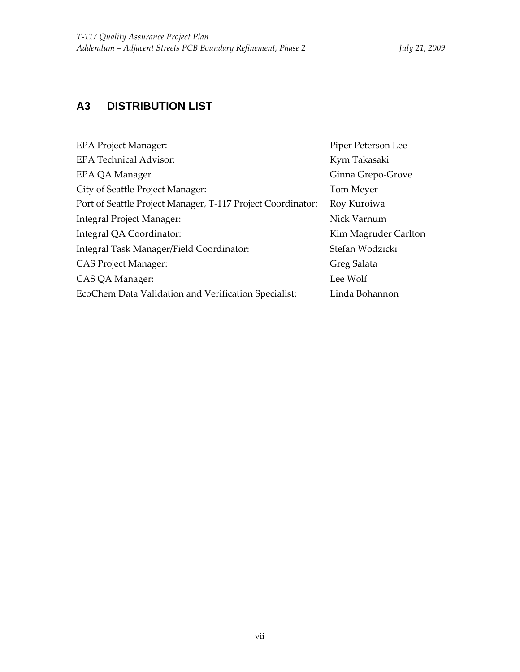### **A3 DISTRIBUTION LIST**

| <b>EPA Project Manager:</b>                                 | Piper Peterson Lee   |
|-------------------------------------------------------------|----------------------|
| <b>EPA Technical Advisor:</b>                               | Kym Takasaki         |
| EPA QA Manager                                              | Ginna Grepo-Grove    |
| City of Seattle Project Manager:                            | Tom Meyer            |
| Port of Seattle Project Manager, T-117 Project Coordinator: | Roy Kuroiwa          |
| Integral Project Manager:                                   | Nick Varnum          |
| Integral QA Coordinator:                                    | Kim Magruder Carlton |
| Integral Task Manager/Field Coordinator:                    | Stefan Wodzicki      |
| <b>CAS Project Manager:</b>                                 | Greg Salata          |
| CAS QA Manager:                                             | Lee Wolf             |
| EcoChem Data Validation and Verification Specialist:        | Linda Bohannon       |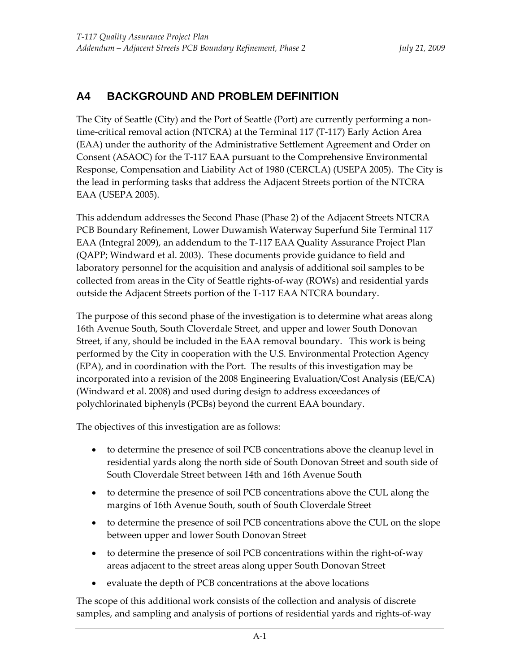### **A4 BACKGROUND AND PROBLEM DEFINITION**

The City of Seattle (City) and the Port of Seattle (Port) are currently performing a non‐ time-critical removal action (NTCRA) at the Terminal 117 (T-117) Early Action Area (EAA) under the authority of the Administrative Settlement Agreement and Order on Consent (ASAOC) for the T‐117 EAA pursuant to the Comprehensive Environmental Response, Compensation and Liability Act of 1980 (CERCLA) (USEPA 2005). The City is the lead in performing tasks that address the Adjacent Streets portion of the NTCRA EAA (USEPA 2005).

This addendum addresses the Second Phase (Phase 2) of the Adjacent Streets NTCRA PCB Boundary Refinement, Lower Duwamish Waterway Superfund Site Terminal 117 EAA (Integral 2009), an addendum to the T‐117 EAA Quality Assurance Project Plan (QAPP; Windward et al. 2003). These documents provide guidance to field and laboratory personnel for the acquisition and analysis of additional soil samples to be collected from areas in the City of Seattle rights‐of‐way (ROWs) and residential yards outside the Adjacent Streets portion of the T‐117 EAA NTCRA boundary.

The purpose of this second phase of the investigation is to determine what areas along 16th Avenue South, South Cloverdale Street, and upper and lower South Donovan Street, if any, should be included in the EAA removal boundary. This work is being performed by the City in cooperation with the U.S. Environmental Protection Agency (EPA), and in coordination with the Port. The results of this investigation may be incorporated into a revision of the 2008 Engineering Evaluation/Cost Analysis (EE/CA) (Windward et al. 2008) and used during design to address exceedances of polychlorinated biphenyls (PCBs) beyond the current EAA boundary.

The objectives of this investigation are as follows:

- to determine the presence of soil PCB concentrations above the cleanup level in residential yards along the north side of South Donovan Street and south side of South Cloverdale Street between 14th and 16th Avenue South
- to determine the presence of soil PCB concentrations above the CUL along the margins of 16th Avenue South, south of South Cloverdale Street
- to determine the presence of soil PCB concentrations above the CUL on the slope between upper and lower South Donovan Street
- to determine the presence of soil PCB concentrations within the right-of-way areas adjacent to the street areas along upper South Donovan Street
- evaluate the depth of PCB concentrations at the above locations

The scope of this additional work consists of the collection and analysis of discrete samples, and sampling and analysis of portions of residential yards and rights‐of‐way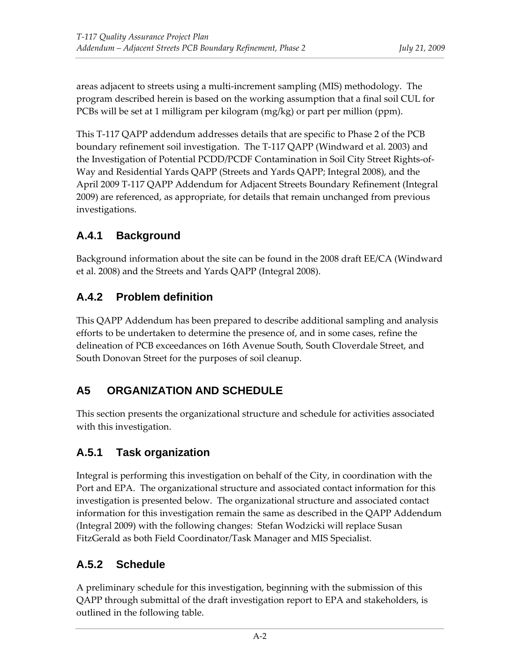areas adjacent to streets using a multi‐increment sampling (MIS) methodology. The program described herein is based on the working assumption that a final soil CUL for PCBs will be set at 1 milligram per kilogram (mg/kg) or part per million (ppm).

This T‐117 QAPP addendum addresses details that are specific to Phase 2 of the PCB boundary refinement soil investigation. The T‐117 QAPP (Windward et al. 2003) and the Investigation of Potential PCDD/PCDF Contamination in Soil City Street Rights‐of‐ Way and Residential Yards QAPP (Streets and Yards QAPP; Integral 2008), and the April 2009 T‐117 QAPP Addendum for Adjacent Streets Boundary Refinement (Integral 2009) are referenced, as appropriate, for details that remain unchanged from previous investigations.

# **A.4.1 Background**

Background information about the site can be found in the 2008 draft EE/CA (Windward et al. 2008) and the Streets and Yards QAPP (Integral 2008).

### **A.4.2 Problem definition**

This QAPP Addendum has been prepared to describe additional sampling and analysis efforts to be undertaken to determine the presence of, and in some cases, refine the delineation of PCB exceedances on 16th Avenue South, South Cloverdale Street, and South Donovan Street for the purposes of soil cleanup.

# **A5 ORGANIZATION AND SCHEDULE**

This section presents the organizational structure and schedule for activities associated with this investigation.

# **A.5.1 Task organization**

Integral is performing this investigation on behalf of the City, in coordination with the Port and EPA. The organizational structure and associated contact information for this investigation is presented below. The organizational structure and associated contact information for this investigation remain the same as described in the QAPP Addendum (Integral 2009) with the following changes: Stefan Wodzicki will replace Susan FitzGerald as both Field Coordinator/Task Manager and MIS Specialist.

### **A.5.2 Schedule**

A preliminary schedule for this investigation, beginning with the submission of this QAPP through submittal of the draft investigation report to EPA and stakeholders, is outlined in the following table.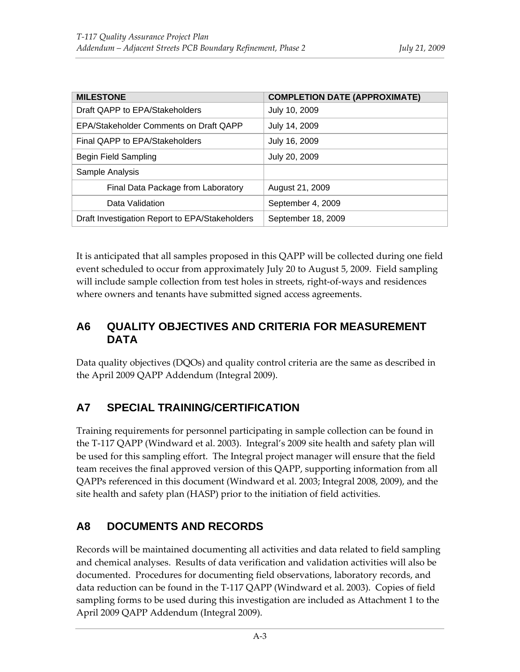| <b>MILESTONE</b>                               | <b>COMPLETION DATE (APPROXIMATE)</b> |  |
|------------------------------------------------|--------------------------------------|--|
| Draft QAPP to EPA/Stakeholders                 | July 10, 2009                        |  |
| EPA/Stakeholder Comments on Draft QAPP         | July 14, 2009                        |  |
| Final QAPP to EPA/Stakeholders                 | July 16, 2009                        |  |
| <b>Begin Field Sampling</b>                    | July 20, 2009                        |  |
| Sample Analysis                                |                                      |  |
| Final Data Package from Laboratory             | August 21, 2009                      |  |
| Data Validation                                | September 4, 2009                    |  |
| Draft Investigation Report to EPA/Stakeholders | September 18, 2009                   |  |

It is anticipated that all samples proposed in this QAPP will be collected during one field event scheduled to occur from approximately July 20 to August 5, 2009. Field sampling will include sample collection from test holes in streets, right-of-ways and residences where owners and tenants have submitted signed access agreements.

#### **A6 QUALITY OBJECTIVES AND CRITERIA FOR MEASUREMENT DATA**

Data quality objectives (DQOs) and quality control criteria are the same as described in the April 2009 QAPP Addendum (Integral 2009).

#### **A7 SPECIAL TRAINING/CERTIFICATION**

Training requirements for personnel participating in sample collection can be found in the T‐117 QAPP (Windward et al. 2003). Integral's 2009 site health and safety plan will be used for this sampling effort. The Integral project manager will ensure that the field team receives the final approved version of this QAPP, supporting information from all QAPPs referenced in this document (Windward et al. 2003; Integral 2008, 2009), and the site health and safety plan (HASP) prior to the initiation of field activities.

#### **A8 DOCUMENTS AND RECORDS**

Records will be maintained documenting all activities and data related to field sampling and chemical analyses. Results of data verification and validation activities will also be documented. Procedures for documenting field observations, laboratory records, and data reduction can be found in the T‐117 QAPP (Windward et al. 2003). Copies of field sampling forms to be used during this investigation are included as Attachment 1 to the April 2009 QAPP Addendum (Integral 2009).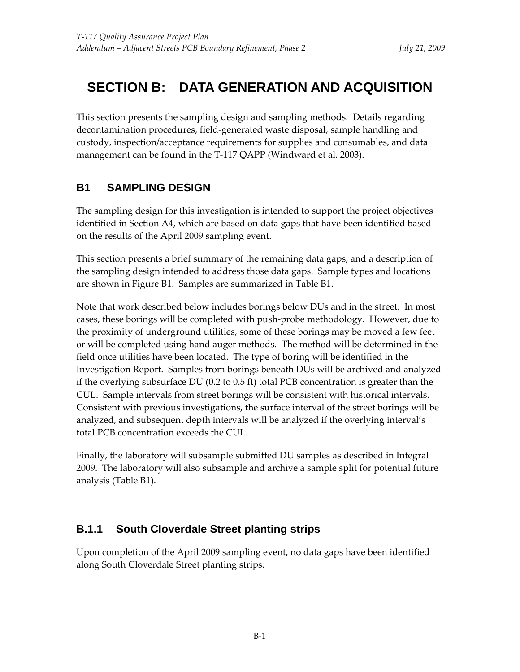# **SECTION B: DATA GENERATION AND ACQUISITION**

This section presents the sampling design and sampling methods. Details regarding decontamination procedures, field‐generated waste disposal, sample handling and custody, inspection/acceptance requirements for supplies and consumables, and data management can be found in the T‐117 QAPP (Windward et al. 2003).

# **B1 SAMPLING DESIGN**

The sampling design for this investigation is intended to support the project objectives identified in Section A4, which are based on data gaps that have been identified based on the results of the April 2009 sampling event.

This section presents a brief summary of the remaining data gaps, and a description of the sampling design intended to address those data gaps. Sample types and locations are shown in Figure B1. Samples are summarized in Table B1.

Note that work described below includes borings below DUs and in the street. In most cases, these borings will be completed with push‐probe methodology. However, due to the proximity of underground utilities, some of these borings may be moved a few feet or will be completed using hand auger methods. The method will be determined in the field once utilities have been located. The type of boring will be identified in the Investigation Report. Samples from borings beneath DUs will be archived and analyzed if the overlying subsurface DU (0.2 to 0.5 ft) total PCB concentration is greater than the CUL. Sample intervals from street borings will be consistent with historical intervals. Consistent with previous investigations, the surface interval of the street borings will be analyzed, and subsequent depth intervals will be analyzed if the overlying interval's total PCB concentration exceeds the CUL.

Finally, the laboratory will subsample submitted DU samples as described in Integral 2009. The laboratory will also subsample and archive a sample split for potential future analysis (Table B1).

# **B.1.1 South Cloverdale Street planting strips**

Upon completion of the April 2009 sampling event, no data gaps have been identified along South Cloverdale Street planting strips.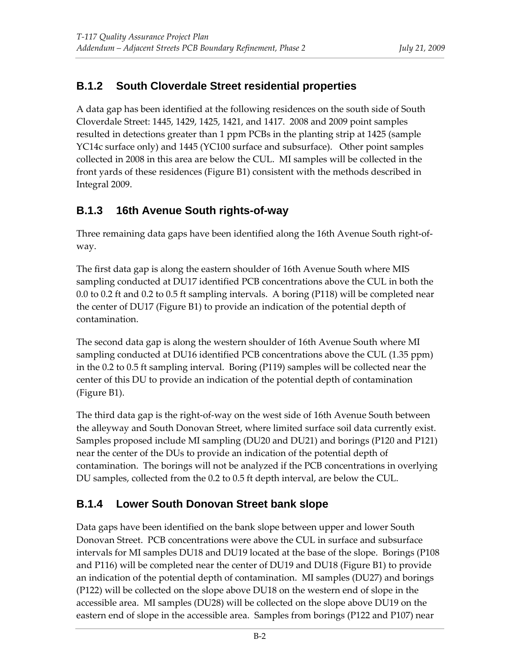#### **B.1.2 South Cloverdale Street residential properties**

A data gap has been identified at the following residences on the south side of South Cloverdale Street: 1445, 1429, 1425, 1421, and 1417. 2008 and 2009 point samples resulted in detections greater than 1 ppm PCBs in the planting strip at 1425 (sample YC14c surface only) and 1445 (YC100 surface and subsurface). Other point samples collected in 2008 in this area are below the CUL. MI samples will be collected in the front yards of these residences (Figure B1) consistent with the methods described in Integral 2009.

#### **B.1.3 16th Avenue South rights-of-way**

Three remaining data gaps have been identified along the 16th Avenue South right‐of‐ way.

The first data gap is along the eastern shoulder of 16th Avenue South where MIS sampling conducted at DU17 identified PCB concentrations above the CUL in both the 0.0 to 0.2 ft and 0.2 to 0.5 ft sampling intervals. A boring (P118) will be completed near the center of DU17 (Figure B1) to provide an indication of the potential depth of contamination.

The second data gap is along the western shoulder of 16th Avenue South where MI sampling conducted at DU16 identified PCB concentrations above the CUL (1.35 ppm) in the 0.2 to 0.5 ft sampling interval. Boring (P119) samples will be collected near the center of this DU to provide an indication of the potential depth of contamination (Figure B1).

The third data gap is the right‐of‐way on the west side of 16th Avenue South between the alleyway and South Donovan Street, where limited surface soil data currently exist. Samples proposed include MI sampling (DU20 and DU21) and borings (P120 and P121) near the center of the DUs to provide an indication of the potential depth of contamination. The borings will not be analyzed if the PCB concentrations in overlying DU samples, collected from the 0.2 to 0.5 ft depth interval, are below the CUL.

### **B.1.4 Lower South Donovan Street bank slope**

Data gaps have been identified on the bank slope between upper and lower South Donovan Street. PCB concentrations were above the CUL in surface and subsurface intervals for MI samples DU18 and DU19 located at the base of the slope. Borings (P108 and P116) will be completed near the center of DU19 and DU18 (Figure B1) to provide an indication of the potential depth of contamination. MI samples (DU27) and borings (P122) will be collected on the slope above DU18 on the western end of slope in the accessible area. MI samples (DU28) will be collected on the slope above DU19 on the eastern end of slope in the accessible area. Samples from borings (P122 and P107) near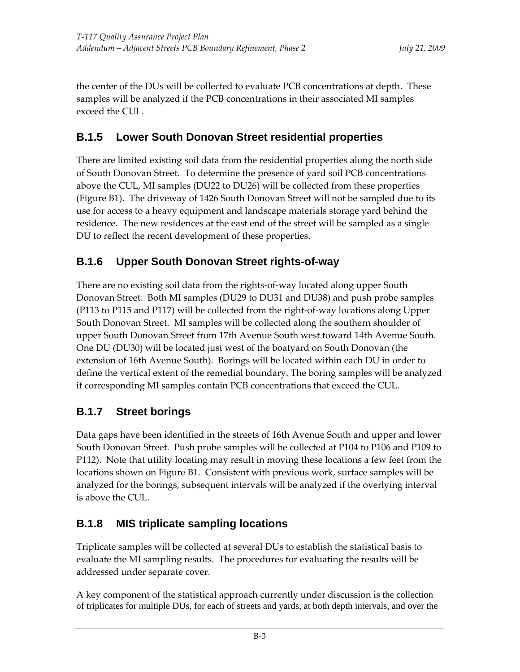the center of the DUs will be collected to evaluate PCB concentrations at depth. These samples will be analyzed if the PCB concentrations in their associated MI samples exceed the CUL.

#### **B.1.5 Lower South Donovan Street residential properties**

There are limited existing soil data from the residential properties along the north side of South Donovan Street. To determine the presence of yard soil PCB concentrations above the CUL, MI samples (DU22 to DU26) will be collected from these properties (Figure B1). The driveway of 1426 South Donovan Street will not be sampled due to its use for access to a heavy equipment and landscape materials storage yard behind the residence. The new residences at the east end of the street will be sampled as a single DU to reflect the recent development of these properties.

#### **B.1.6 Upper South Donovan Street rights-of-way**

There are no existing soil data from the rights‐of‐way located along upper South Donovan Street. Both MI samples (DU29 to DU31 and DU38) and push probe samples (P113 to P115 and P117) will be collected from the right‐of‐way locations along Upper South Donovan Street. MI samples will be collected along the southern shoulder of upper South Donovan Street from 17th Avenue South west toward 14th Avenue South. One DU (DU30) will be located just west of the boatyard on South Donovan (the extension of 16th Avenue South). Borings will be located within each DU in order to define the vertical extent of the remedial boundary. The boring samples will be analyzed if corresponding MI samples contain PCB concentrations that exceed the CUL.

### **B.1.7 Street borings**

Data gaps have been identified in the streets of 16th Avenue South and upper and lower South Donovan Street. Push probe samples will be collected at P104 to P106 and P109 to P112). Note that utility locating may result in moving these locations a few feet from the locations shown on Figure B1. Consistent with previous work, surface samples will be analyzed for the borings, subsequent intervals will be analyzed if the overlying interval is above the CUL.

### **B.1.8 MIS triplicate sampling locations**

Triplicate samples will be collected at several DUs to establish the statistical basis to evaluate the MI sampling results. The procedures for evaluating the results will be addressed under separate cover.

A key component of the statistical approach currently under discussion is the collection of triplicates for multiple DUs, for each of streets and yards, at both depth intervals, and over the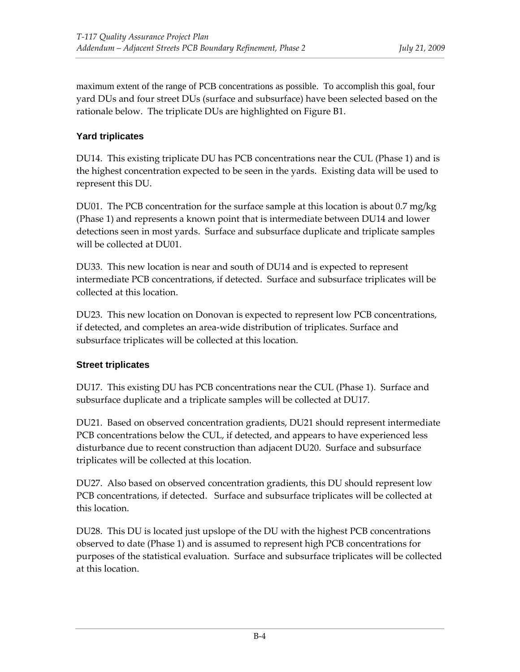maximum extent of the range of PCB concentrations as possible. To accomplish this goal, four yard DUs and four street DUs (surface and subsurface) have been selected based on the rationale below. The triplicate DUs are highlighted on Figure B1.

#### **Yard triplicates**

DU14. This existing triplicate DU has PCB concentrations near the CUL (Phase 1) and is the highest concentration expected to be seen in the yards. Existing data will be used to represent this DU.

DU01. The PCB concentration for the surface sample at this location is about 0.7 mg/kg (Phase 1) and represents a known point that is intermediate between DU14 and lower detections seen in most yards. Surface and subsurface duplicate and triplicate samples will be collected at DU01.

DU33. This new location is near and south of DU14 and is expected to represent intermediate PCB concentrations, if detected. Surface and subsurface triplicates will be collected at this location.

DU23. This new location on Donovan is expected to represent low PCB concentrations, if detected, and completes an area‐wide distribution of triplicates. Surface and subsurface triplicates will be collected at this location.

#### **Street triplicates**

DU17. This existing DU has PCB concentrations near the CUL (Phase 1). Surface and subsurface duplicate and a triplicate samples will be collected at DU17.

DU21. Based on observed concentration gradients, DU21 should represent intermediate PCB concentrations below the CUL, if detected, and appears to have experienced less disturbance due to recent construction than adjacent DU20. Surface and subsurface triplicates will be collected at this location.

DU27. Also based on observed concentration gradients, this DU should represent low PCB concentrations, if detected. Surface and subsurface triplicates will be collected at this location.

DU28. This DU is located just upslope of the DU with the highest PCB concentrations observed to date (Phase 1) and is assumed to represent high PCB concentrations for purposes of the statistical evaluation. Surface and subsurface triplicates will be collected at this location.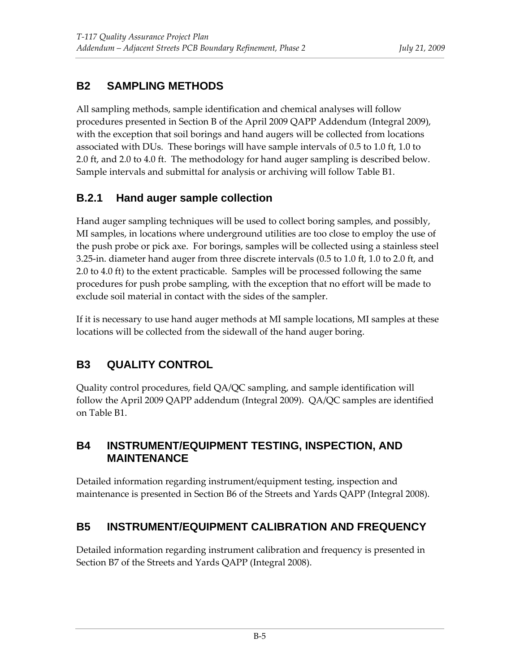# **B2 SAMPLING METHODS**

All sampling methods, sample identification and chemical analyses will follow procedures presented in Section B of the April 2009 QAPP Addendum (Integral 2009), with the exception that soil borings and hand augers will be collected from locations associated with DUs. These borings will have sample intervals of 0.5 to 1.0 ft, 1.0 to 2.0 ft, and 2.0 to 4.0 ft. The methodology for hand auger sampling is described below. Sample intervals and submittal for analysis or archiving will follow Table B1.

### **B.2.1 Hand auger sample collection**

Hand auger sampling techniques will be used to collect boring samples, and possibly, MI samples, in locations where underground utilities are too close to employ the use of the push probe or pick axe. For borings, samples will be collected using a stainless steel 3.25-in. diameter hand auger from three discrete intervals (0.5 to 1.0 ft, 1.0 to 2.0 ft, and 2.0 to 4.0 ft) to the extent practicable. Samples will be processed following the same procedures for push probe sampling, with the exception that no effort will be made to exclude soil material in contact with the sides of the sampler.

If it is necessary to use hand auger methods at MI sample locations, MI samples at these locations will be collected from the sidewall of the hand auger boring.

# **B3 QUALITY CONTROL**

Quality control procedures, field QA/QC sampling, and sample identification will follow the April 2009 QAPP addendum (Integral 2009). QA/QC samples are identified on Table B1.

#### **B4 INSTRUMENT/EQUIPMENT TESTING, INSPECTION, AND MAINTENANCE**

Detailed information regarding instrument/equipment testing, inspection and maintenance is presented in Section B6 of the Streets and Yards QAPP (Integral 2008).

### **B5 INSTRUMENT/EQUIPMENT CALIBRATION AND FREQUENCY**

Detailed information regarding instrument calibration and frequency is presented in Section B7 of the Streets and Yards QAPP (Integral 2008).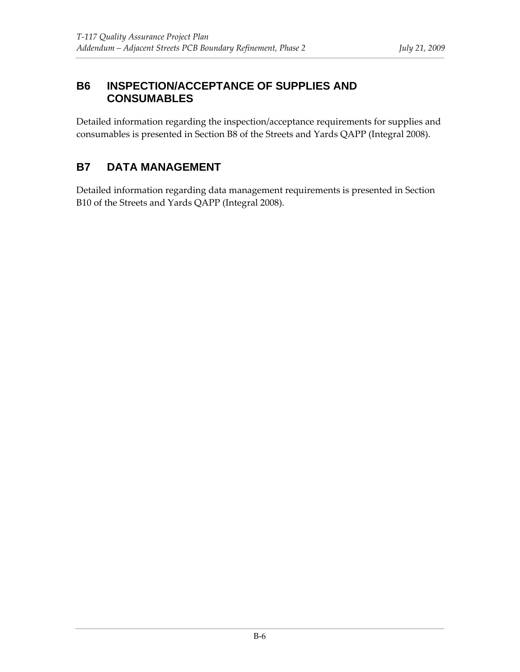#### **B6 INSPECTION/ACCEPTANCE OF SUPPLIES AND CONSUMABLES**

Detailed information regarding the inspection/acceptance requirements for supplies and consumables is presented in Section B8 of the Streets and Yards QAPP (Integral 2008).

### **B7 DATA MANAGEMENT**

Detailed information regarding data management requirements is presented in Section B10 of the Streets and Yards QAPP (Integral 2008).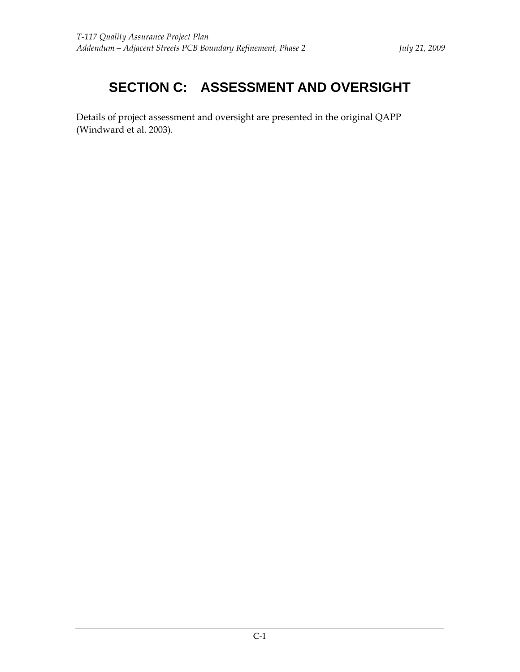# **SECTION C: ASSESSMENT AND OVERSIGHT**

Details of project assessment and oversight are presented in the original QAPP (Windward et al. 2003).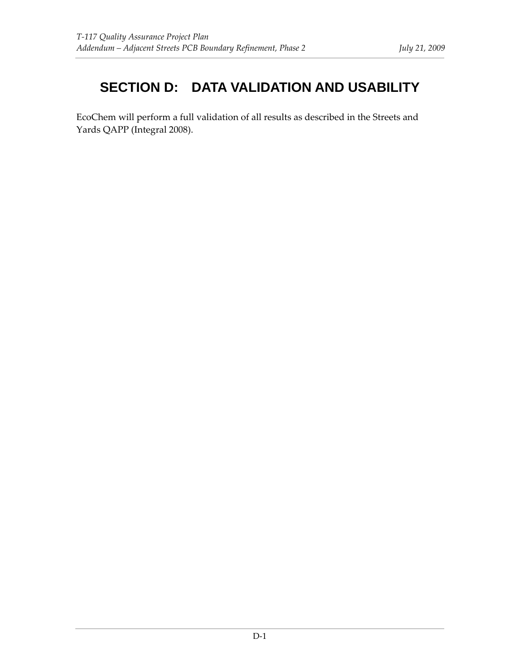# **SECTION D: DATA VALIDATION AND USABILITY**

EcoChem will perform a full validation of all results as described in the Streets and Yards QAPP (Integral 2008).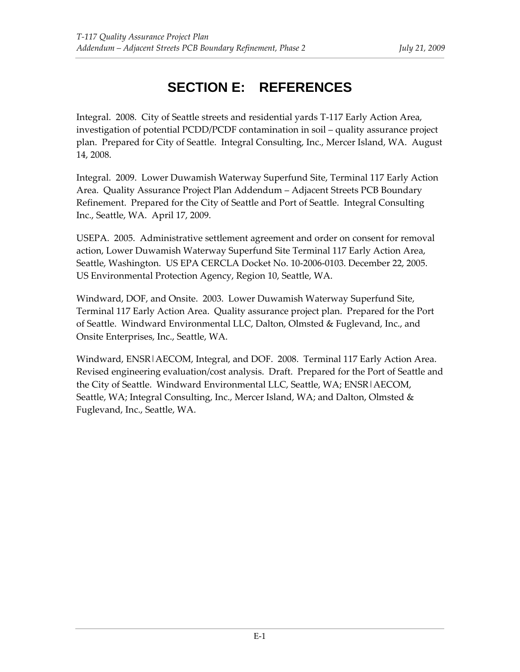# **SECTION E: REFERENCES**

Integral. 2008. City of Seattle streets and residential yards T‐117 Early Action Area, investigation of potential PCDD/PCDF contamination in soil – quality assurance project plan. Prepared for City of Seattle. Integral Consulting, Inc., Mercer Island, WA. August 14, 2008.

Integral. 2009. Lower Duwamish Waterway Superfund Site, Terminal 117 Early Action Area. Quality Assurance Project Plan Addendum – Adjacent Streets PCB Boundary Refinement. Prepared for the City of Seattle and Port of Seattle. Integral Consulting Inc., Seattle, WA. April 17, 2009.

USEPA. 2005. Administrative settlement agreement and order on consent for removal action, Lower Duwamish Waterway Superfund Site Terminal 117 Early Action Area, Seattle, Washington. US EPA CERCLA Docket No. 10‐2006‐0103. December 22, 2005. US Environmental Protection Agency, Region 10, Seattle, WA.

Windward, DOF, and Onsite. 2003. Lower Duwamish Waterway Superfund Site, Terminal 117 Early Action Area. Quality assurance project plan. Prepared for the Port of Seattle. Windward Environmental LLC, Dalton, Olmsted & Fuglevand, Inc., and Onsite Enterprises, Inc., Seattle, WA.

Windward, ENSR|AECOM, Integral, and DOF. 2008. Terminal 117 Early Action Area. Revised engineering evaluation/cost analysis. Draft. Prepared for the Port of Seattle and the City of Seattle. Windward Environmental LLC, Seattle, WA; ENSR|AECOM, Seattle, WA; Integral Consulting, Inc., Mercer Island, WA; and Dalton, Olmsted & Fuglevand, Inc., Seattle, WA.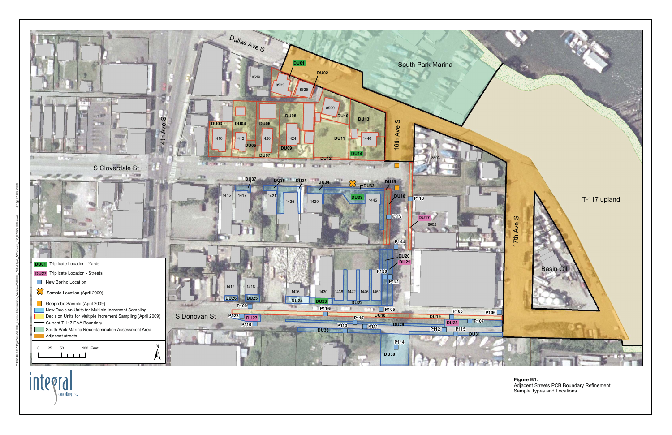integral consulting inc.



**Figure B1.** Adjacent Streets PCB Boundary Refinement Sample Types and Locations

**DRAFT**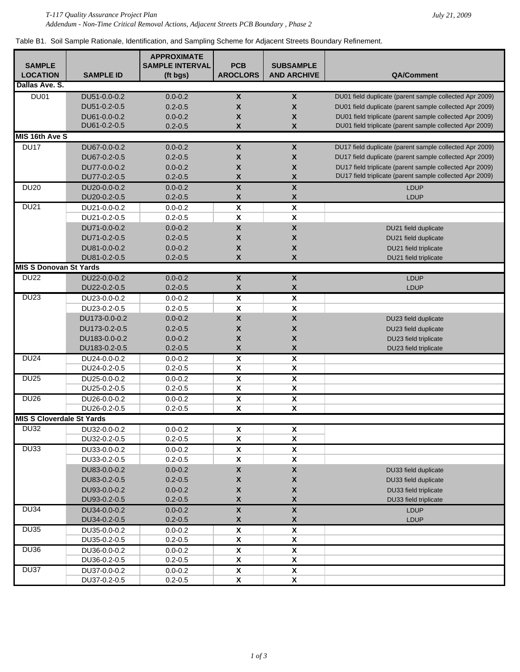Table B1. Soil Sample Rationale, Identification, and Sampling Scheme for Adjacent Streets Boundary Refinement.

|                                  |                  | <b>APPROXIMATE</b>     |                           |                           |                                                                                                                      |
|----------------------------------|------------------|------------------------|---------------------------|---------------------------|----------------------------------------------------------------------------------------------------------------------|
| <b>SAMPLE</b>                    |                  | <b>SAMPLE INTERVAL</b> | <b>PCB</b>                | <b>SUBSAMPLE</b>          |                                                                                                                      |
| <b>LOCATION</b>                  | <b>SAMPLE ID</b> | (ft bgs)               | <b>AROCLORS</b>           | <b>AND ARCHIVE</b>        | <b>QA/Comment</b>                                                                                                    |
| Dallas Ave. S.                   |                  |                        |                           |                           |                                                                                                                      |
| DU01                             | DU51-0.0-0.2     | $0.0 - 0.2$            | $\pmb{\mathsf{X}}$        | $\boldsymbol{\mathsf{X}}$ | DU01 field duplicate (parent sample collected Apr 2009)                                                              |
|                                  | DU51-0.2-0.5     | $0.2 - 0.5$            | $\boldsymbol{\mathsf{X}}$ | $\mathsf{x}$              | DU01 field duplicate (parent sample collected Apr 2009)                                                              |
|                                  | DU61-0.0-0.2     | $0.0 - 0.2$            | $\boldsymbol{\mathsf{X}}$ | $\mathsf{x}$              | DU01 field triplicate (parent sample collected Apr 2009)                                                             |
|                                  | DU61-0.2-0.5     | $0.2 - 0.5$            | X                         | $\mathsf{x}$              | DU01 field triplicate (parent sample collected Apr 2009)                                                             |
| MIS 16th Ave S                   |                  |                        |                           |                           |                                                                                                                      |
| <b>DU17</b>                      | DU67-0.0-0.2     | $0.0 - 0.2$            | $\pmb{\mathsf{X}}$        | $\pmb{\mathsf{X}}$        | DU17 field duplicate (parent sample collected Apr 2009)                                                              |
|                                  | DU67-0.2-0.5     | $0.2 - 0.5$            | $\boldsymbol{\mathsf{X}}$ | $\boldsymbol{x}$          | DU17 field duplicate (parent sample collected Apr 2009)                                                              |
|                                  | DU77-0.0-0.2     | $0.0 - 0.2$            | $\boldsymbol{\mathsf{X}}$ | X                         | DU17 field triplicate (parent sample collected Apr 2009)<br>DU17 field triplicate (parent sample collected Apr 2009) |
|                                  | DU77-0.2-0.5     | $0.2 - 0.5$            | $\pmb{\mathsf{X}}$        | $\pmb{\mathsf{X}}$        |                                                                                                                      |
| <b>DU20</b>                      | DU20-0.0-0.2     | $0.0 - 0.2$            | $\overline{\mathbf{X}}$   | $\pmb{\mathsf{X}}$        | <b>LDUP</b>                                                                                                          |
|                                  | DU20-0.2-0.5     | $0.2 - 0.5$            | $\pmb{\mathsf{X}}$        | $\pmb{\mathsf{X}}$        | LDUP                                                                                                                 |
| <b>DU21</b>                      | DU21-0.0-0.2     | $0.0 - 0.2$            | $\pmb{\mathsf{X}}$        | $\pmb{\mathsf{X}}$        |                                                                                                                      |
|                                  | DU21-0.2-0.5     | $0.2 - 0.5$            | $\pmb{\mathsf{X}}$        | $\pmb{\mathsf{X}}$        |                                                                                                                      |
|                                  | DU71-0.0-0.2     | $0.0 - 0.2$            | $\pmb{\mathsf{X}}$        | $\pmb{\mathsf{X}}$        | DU21 field duplicate                                                                                                 |
|                                  | DU71-0.2-0.5     | $0.2 - 0.5$            | $\pmb{\mathsf{X}}$        | $\boldsymbol{x}$          | DU21 field duplicate                                                                                                 |
|                                  | DU81-0.0-0.2     | $0.0 - 0.2$            | $\pmb{\mathsf{X}}$        | $\pmb{\mathsf{X}}$        | DU21 field triplicate                                                                                                |
|                                  | DU81-0.2-0.5     | $0.2 - 0.5$            | $\boldsymbol{\mathsf{X}}$ | $\boldsymbol{x}$          | DU21 field triplicate                                                                                                |
| <b>MIS S Donovan St Yards</b>    |                  |                        |                           |                           |                                                                                                                      |
| <b>DU22</b>                      | DU22-0.0-0.2     | $0.0 - 0.2$            | $\pmb{\mathsf{X}}$        | $\pmb{\mathsf{X}}$        | <b>LDUP</b>                                                                                                          |
|                                  | DU22-0.2-0.5     | $0.2 - 0.5$            | $\pmb{\mathsf{X}}$        | $\pmb{\mathsf{X}}$        | <b>LDUP</b>                                                                                                          |
| <b>DU23</b>                      | DU23-0.0-0.2     | $0.0 - 0.2$            | $\pmb{\mathsf{X}}$        | $\pmb{\mathsf{X}}$        |                                                                                                                      |
|                                  | DU23-0.2-0.5     | $0.2 - 0.5$            | $\pmb{\mathsf{X}}$        | $\pmb{\mathsf{X}}$        |                                                                                                                      |
|                                  | DU173-0.0-0.2    | $0.0 - 0.2$            | $\pmb{\mathsf{X}}$        | $\pmb{\mathsf{X}}$        | DU23 field duplicate                                                                                                 |
|                                  | DU173-0.2-0.5    | $0.2 - 0.5$            | $\pmb{\mathsf{X}}$        | $\boldsymbol{x}$          | DU23 field duplicate                                                                                                 |
|                                  | DU183-0.0-0.2    | $0.0 - 0.2$            | $\boldsymbol{\mathsf{X}}$ | $\boldsymbol{x}$          | DU23 field triplicate                                                                                                |
|                                  | DU183-0.2-0.5    | $0.2 - 0.5$            | $\pmb{\mathsf{X}}$        | $\pmb{\mathsf{X}}$        | DU23 field triplicate                                                                                                |
| <b>DU24</b>                      | DU24-0.0-0.2     | $0.0 - 0.2$            | $\overline{\mathbf{X}}$   | $\overline{\mathbf{x}}$   |                                                                                                                      |
|                                  | DU24-0.2-0.5     | $0.2 - 0.5$            | $\overline{\mathbf{x}}$   | X                         |                                                                                                                      |
| <b>DU25</b>                      | DU25-0.0-0.2     | $0.0 - 0.2$            | $\overline{\mathbf{x}}$   | $\overline{\mathbf{x}}$   |                                                                                                                      |
|                                  | DU25-0.2-0.5     | $0.2 - 0.5$            | X                         | $\overline{\mathbf{x}}$   |                                                                                                                      |
| <b>DU26</b>                      | DU26-0.0-0.2     | $0.0 - 0.2$            | $\pmb{\mathsf{X}}$        | $\pmb{\mathsf{x}}$        |                                                                                                                      |
|                                  | DU26-0.2-0.5     | $0.2 - 0.5$            | X                         | X                         |                                                                                                                      |
| <b>MIS S Cloverdale St Yards</b> |                  |                        |                           |                           |                                                                                                                      |
| <b>DU32</b>                      | DU32-0.0-0.2     | $0.0 - 0.2$            | $\pmb{\mathsf{X}}$        | $\pmb{\mathsf{X}}$        |                                                                                                                      |
|                                  | DU32-0.2-0.5     | $0.2 - 0.5$            | X                         | $\pmb{\mathsf{X}}$        |                                                                                                                      |
| <b>DU33</b>                      | DU33-0.0-0.2     | $0.0 - 0.2$            | $\pmb{\mathsf{x}}$        | $\pmb{\mathsf{X}}$        |                                                                                                                      |
|                                  | DU33-0.2-0.5     | $0.2 - 0.5$            | $\pmb{\mathsf{X}}$        | $\pmb{\mathsf{X}}$        |                                                                                                                      |
|                                  | DU83-0.0-0.2     | $0.0 - 0.2$            | $\pmb{\mathsf{X}}$        | $\pmb{\mathsf{X}}$        | DU33 field duplicate                                                                                                 |
|                                  | DU83-0.2-0.5     | $0.2 - 0.5$            | $\pmb{\mathsf{X}}$        | $\pmb{\mathsf{X}}$        | DU33 field duplicate                                                                                                 |
|                                  | DU93-0.0-0.2     | $0.0 - 0.2$            | $\pmb{\mathsf{X}}$        | $\pmb{\mathsf{X}}$        | DU33 field triplicate                                                                                                |
|                                  | DU93-0.2-0.5     | $0.2 - 0.5$            | $\pmb{\mathsf{X}}$        | $\pmb{\mathsf{X}}$        | DU33 field triplicate                                                                                                |
| <b>DU34</b>                      | DU34-0.0-0.2     | $0.0 - 0.2$            | $\pmb{\mathsf{X}}$        | $\pmb{\mathsf{X}}$        | LDUP                                                                                                                 |
|                                  | DU34-0.2-0.5     | $0.2 - 0.5$            | $\pmb{\mathsf{X}}$        | $\pmb{\mathsf{X}}$        | LDUP                                                                                                                 |
| <b>DU35</b>                      | DU35-0.0-0.2     | $0.0 - 0.2$            | $\pmb{\mathsf{X}}$        | $\pmb{\mathsf{x}}$        |                                                                                                                      |
|                                  | DU35-0.2-0.5     | $0.2 - 0.5$            | X                         | X                         |                                                                                                                      |
| DU36                             | DU36-0.0-0.2     | $0.0 - 0.2$            | $\pmb{\mathsf{X}}$        | $\pmb{\mathsf{X}}$        |                                                                                                                      |
|                                  | DU36-0.2-0.5     | $0.2 - 0.5$            | $\pmb{\mathsf{X}}$        | X                         |                                                                                                                      |
| DU37                             | DU37-0.0-0.2     | $0.0 - 0.2$            | $\pmb{\mathsf{X}}$        | $\pmb{\mathsf{X}}$        |                                                                                                                      |
|                                  | DU37-0.2-0.5     | $0.2 - 0.5$            | $\pmb{\mathsf{X}}$        | $\pmb{\mathsf{X}}$        |                                                                                                                      |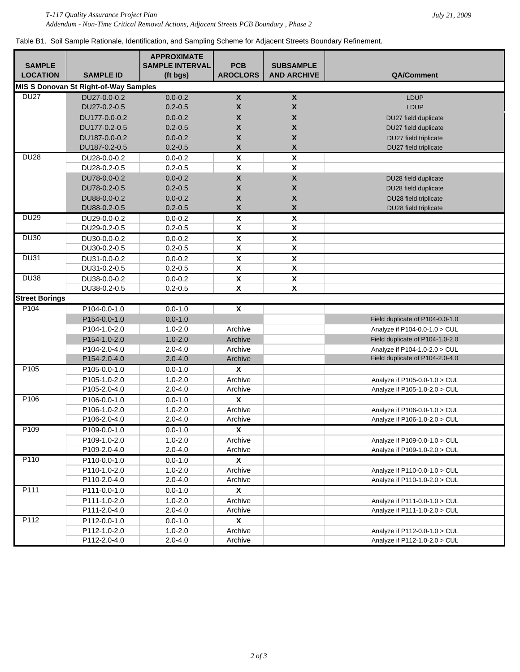Table B1. Soil Sample Rationale, Identification, and Sampling Scheme for Adjacent Streets Boundary Refinement.

|                                  |                                                              | <b>APPROXIMATE</b>     |                                                 |                                               |                                 |
|----------------------------------|--------------------------------------------------------------|------------------------|-------------------------------------------------|-----------------------------------------------|---------------------------------|
| <b>SAMPLE</b><br><b>LOCATION</b> | <b>SAMPLE ID</b>                                             | <b>SAMPLE INTERVAL</b> | <b>PCB</b><br><b>AROCLORS</b>                   | <b>SUBSAMPLE</b><br><b>AND ARCHIVE</b>        | QA/Comment                      |
|                                  |                                                              | (ft bgs)               |                                                 |                                               |                                 |
| <b>DU27</b>                      | <b>MIS S Donovan St Right-of-Way Samples</b><br>DU27-0.0-0.2 | $0.0 - 0.2$            | $\pmb{\mathsf{X}}$                              | $\pmb{\mathsf{X}}$                            |                                 |
|                                  | DU27-0.2-0.5                                                 | $0.2 - 0.5$            | $\boldsymbol{\mathsf{X}}$                       | $\boldsymbol{x}$                              | <b>LDUP</b><br><b>LDUP</b>      |
|                                  |                                                              |                        | $\boldsymbol{X}$                                | $\mathsf{x}$                                  |                                 |
|                                  | DU177-0.0-0.2                                                | $0.0 - 0.2$            |                                                 |                                               | DU27 field duplicate            |
|                                  | DU177-0.2-0.5                                                | $0.2 - 0.5$            | $\boldsymbol{\mathsf{X}}$                       | $\boldsymbol{x}$                              | DU27 field duplicate            |
|                                  | DU187-0.0-0.2                                                | $0.0 - 0.2$            | $\boldsymbol{\mathsf{X}}$<br>$\pmb{\mathsf{X}}$ | $\boldsymbol{x}$<br>$\boldsymbol{\mathsf{x}}$ | DU27 field triplicate           |
| <b>DU28</b>                      | DU187-0.2-0.5                                                | $0.2 - 0.5$            |                                                 |                                               | DU27 field triplicate           |
|                                  | DU28-0.0-0.2                                                 | $0.0 - 0.2$            | $\pmb{\mathsf{X}}$                              | $\pmb{\mathsf{X}}$                            |                                 |
|                                  | DU28-0.2-0.5                                                 | $0.2 - 0.5$            | $\pmb{\mathsf{X}}$                              | $\pmb{\mathsf{x}}$                            |                                 |
|                                  | DU78-0.0-0.2                                                 | $0.0 - 0.2$            | $\pmb{\mathsf{X}}$                              | $\pmb{\mathsf{X}}$                            | DU28 field duplicate            |
|                                  | DU78-0.2-0.5                                                 | $0.2 - 0.5$            | $\pmb{\mathsf{X}}$                              | $\pmb{\mathsf{X}}$                            | DU28 field duplicate            |
|                                  | DU88-0.0-0.2                                                 | $0.0 - 0.2$            | $\pmb{\mathsf{X}}$                              | $\pmb{\mathsf{X}}$                            | DU28 field triplicate           |
|                                  | DU88-0.2-0.5                                                 | $0.2 - 0.5$            | $\pmb{\mathsf{X}}$                              | $\pmb{\mathsf{X}}$                            | DU28 field triplicate           |
| <b>DU29</b>                      | DU29-0.0-0.2                                                 | $0.0 - 0.2$            | $\pmb{\mathsf{X}}$                              | $\pmb{\mathsf{X}}$                            |                                 |
|                                  | DU29-0.2-0.5                                                 | $0.2 - 0.5$            | $\overline{\textbf{X}}$                         | $\overline{\mathbf{x}}$                       |                                 |
| <b>DU30</b>                      | DU30-0.0-0.2                                                 | $0.0 - 0.2$            | $\overline{\mathbf{X}}$                         | $\overline{\mathbf{X}}$                       |                                 |
|                                  | DU30-0.2-0.5                                                 | $0.2 - 0.5$            | $\overline{\textbf{X}}$                         | $\overline{\textbf{X}}$                       |                                 |
| <b>DU31</b>                      | DU31-0.0-0.2                                                 | $0.0 - 0.2$            | $\overline{\mathbf{X}}$                         | $\overline{\mathbf{x}}$                       |                                 |
|                                  | DU31-0.2-0.5                                                 | $0.2 - 0.5$            | $\overline{\textbf{X}}$                         | $\overline{\textbf{X}}$                       |                                 |
| <b>DU38</b>                      | DU38-0.0-0.2                                                 | $0.0 - 0.2$            | $\pmb{\mathsf{X}}$                              | $\overline{\mathbf{x}}$                       |                                 |
|                                  | DU38-0.2-0.5                                                 | $0.2 - 0.5$            | $\overline{\mathbf{x}}$                         | $\overline{\mathbf{x}}$                       |                                 |
| <b>Street Borings</b>            |                                                              |                        |                                                 |                                               |                                 |
| P <sub>104</sub>                 | P104-0.0-1.0                                                 | $0.0 - 1.0$            | $\pmb{\mathsf{x}}$                              |                                               |                                 |
|                                  | P154-0.0-1.0                                                 | $0.0 - 1.0$            |                                                 |                                               | Field duplicate of P104-0.0-1.0 |
|                                  | P104-1.0-2.0                                                 | $1.0 - 2.0$            | Archive                                         |                                               | Analyze if P104-0.0-1.0 > CUL   |
|                                  | P154-1.0-2.0                                                 | $1.0 - 2.0$            | Archive                                         |                                               | Field duplicate of P104-1.0-2.0 |
|                                  | P104-2.0-4.0                                                 | $2.0 - 4.0$            | Archive                                         |                                               | Analyze if P104-1.0-2.0 > CUL   |
|                                  | P154-2.0-4.0                                                 | $2.0 - 4.0$            | Archive                                         |                                               | Field duplicate of P104-2.0-4.0 |
| P <sub>105</sub>                 | P105-0.0-1.0                                                 | $0.0 - 1.0$            | X                                               |                                               |                                 |
|                                  | P105-1.0-2.0                                                 | $1.0 - 2.0$            | Archive                                         |                                               | Analyze if P105-0.0-1.0 > CUL   |
|                                  | P105-2.0-4.0                                                 | $2.0 - 4.0$            | Archive                                         |                                               | Analyze if P105-1.0-2.0 > CUL   |
| P <sub>106</sub>                 | P106-0.0-1.0                                                 | $0.0 - 1.0$            | X                                               |                                               |                                 |
|                                  | P106-1.0-2.0                                                 | $1.0 - 2.0$            | Archive                                         |                                               | Analyze if P106-0.0-1.0 > CUL   |
|                                  | P106-2.0-4.0                                                 | $2.0 - 4.0$            | Archive                                         |                                               | Analyze if P106-1.0-2.0 > CUL   |
| P <sub>109</sub>                 | P109-0.0-1.0                                                 | $0.0 - 1.0$            | $\pmb{\mathsf{x}}$                              |                                               |                                 |
|                                  | P109-1.0-2.0                                                 | $1.0 - 2.0$            | Archive                                         |                                               | Analyze if P109-0.0-1.0 > CUL   |
|                                  | P109-2.0-4.0                                                 | $2.0 - 4.0$            | Archive                                         |                                               | Analyze if P109-1.0-2.0 > CUL   |
| P110                             | P110-0.0-1.0                                                 | $0.0 - 1.0$            | X                                               |                                               |                                 |
|                                  | P110-1.0-2.0                                                 | $1.0 - 2.0$            | Archive                                         |                                               | Analyze if P110-0.0-1.0 > CUL   |
|                                  | P110-2.0-4.0                                                 | $2.0 - 4.0$            | Archive                                         |                                               | Analyze if P110-1.0-2.0 > CUL   |
| P111                             | P111-0.0-1.0                                                 | $0.0 - 1.0$            | X                                               |                                               |                                 |
|                                  | P111-1.0-2.0                                                 | $1.0 - 2.0$            | Archive                                         |                                               | Analyze if P111-0.0-1.0 > CUL   |
|                                  | P111-2.0-4.0                                                 | $2.0 - 4.0$            | Archive                                         |                                               | Analyze if P111-1.0-2.0 > CUL   |
| P112                             | P112-0.0-1.0                                                 | $0.0 - 1.0$            | X                                               |                                               |                                 |
|                                  | P112-1.0-2.0                                                 | $1.0 - 2.0$            | Archive                                         |                                               | Analyze if P112-0.0-1.0 > CUL   |
|                                  | P112-2.0-4.0                                                 | $2.0 - 4.0$            | Archive                                         |                                               | Analyze if P112-1.0-2.0 > CUL   |